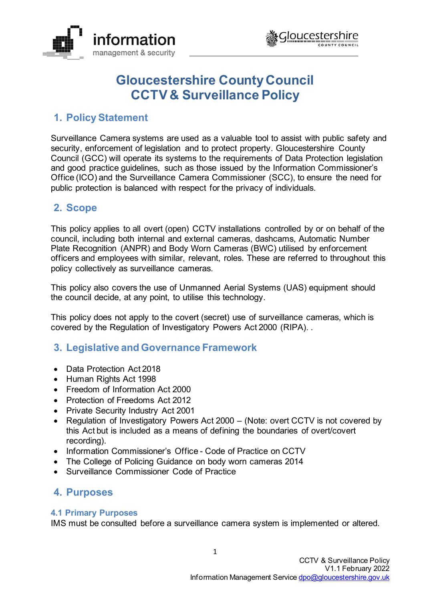



# **Gloucestershire County Council CCTV & Surveillance Policy**

# **1. Policy Statement**

Surveillance Camera systems are used as a valuable tool to assist with public safety and security, enforcement of legislation and to protect property. Gloucestershire County Council (GCC) will operate its systems to the requirements of Data Protection legislation and good practice guidelines, such as those issued by the Information Commissioner's Office (ICO) and the Surveillance Camera Commissioner (SCC), to ensure the need for public protection is balanced with respect for the privacy of individuals.

# **2. Scope**

This policy applies to all overt (open) CCTV installations controlled by or on behalf of the council, including both internal and external cameras, dashcams, Automatic Number Plate Recognition (ANPR) and Body Worn Cameras (BWC) utilised by enforcement officers and employees with similar, relevant, roles. These are referred to throughout this policy collectively as surveillance cameras.

This policy also covers the use of Unmanned Aerial Systems (UAS) equipment should the council decide, at any point, to utilise this technology.

This policy does not apply to the covert (secret) use of surveillance cameras, which is covered by the Regulation of Investigatory Powers Act 2000 (RIPA). .

# **3. Legislative and Governance Framework**

- Data Protection Act 2018
- Human Rights Act 1998
- Freedom of Information Act 2000
- Protection of Freedoms Act 2012
- Private Security Industry Act 2001
- Regulation of Investigatory Powers Act 2000 (Note: overt CCTV is not covered by this Act but is included as a means of defining the boundaries of overt/covert recording).
- Information Commissioner's Office Code of Practice on CCTV
- The College of Policing Guidance on body worn cameras 2014
- Surveillance Commissioner Code of Practice

# **4. Purposes**

# **4.1 Primary Purposes**

IMS must be consulted before a surveillance camera system is implemented or altered.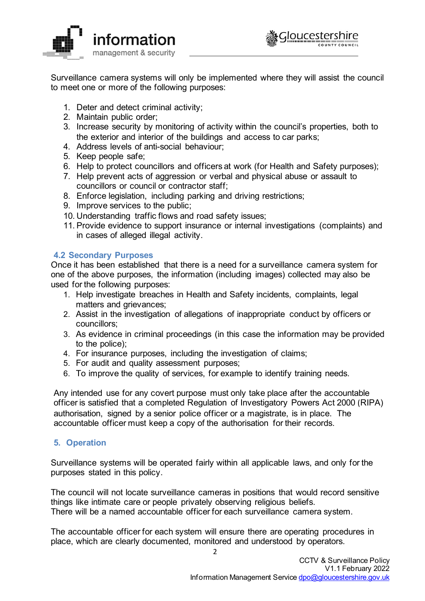



Surveillance camera systems will only be implemented where they will assist the council to meet one or more of the following purposes:

- 1. Deter and detect criminal activity;
- 2. Maintain public order;
- 3. Increase security by monitoring of activity within the council's properties, both to the exterior and interior of the buildings and access to car parks;
- 4. Address levels of anti-social behaviour;
- 5. Keep people safe;
- 6. Help to protect councillors and officers at work (for Health and Safety purposes);
- 7. Help prevent acts of aggression or verbal and physical abuse or assault to councillors or council or contractor staff;
- 8. Enforce legislation, including parking and driving restrictions;
- 9. Improve services to the public;
- 10. Understanding traffic flows and road safety issues;
- 11. Provide evidence to support insurance or internal investigations (complaints) and in cases of alleged illegal activity.

# **4.2 Secondary Purposes**

Once it has been established that there is a need for a surveillance camera system for one of the above purposes, the information (including images) collected may also be used for the following purposes:

- 1. Help investigate breaches in Health and Safety incidents, complaints, legal matters and grievances;
- 2. Assist in the investigation of allegations of inappropriate conduct by officers or councillors;
- 3. As evidence in criminal proceedings (in this case the information may be provided to the police);
- 4. For insurance purposes, including the investigation of claims;
- 5. For audit and quality assessment purposes;
- 6. To improve the quality of services, for example to identify training needs.

Any intended use for any covert purpose must only take place after the accountable officer is satisfied that a completed Regulation of Investigatory Powers Act 2000 (RIPA) authorisation, signed by a senior police officer or a magistrate, is in place. The accountable officer must keep a copy of the authorisation for their records.

# **5. Operation**

Surveillance systems will be operated fairly within all applicable laws, and only for the purposes stated in this policy.

The council will not locate surveillance cameras in positions that would record sensitive things like intimate care or people privately observing religious beliefs. There will be a named accountable officer for each surveillance camera system.

The accountable officer for each system will ensure there are operating procedures in place, which are clearly documented, monitored and understood by operators.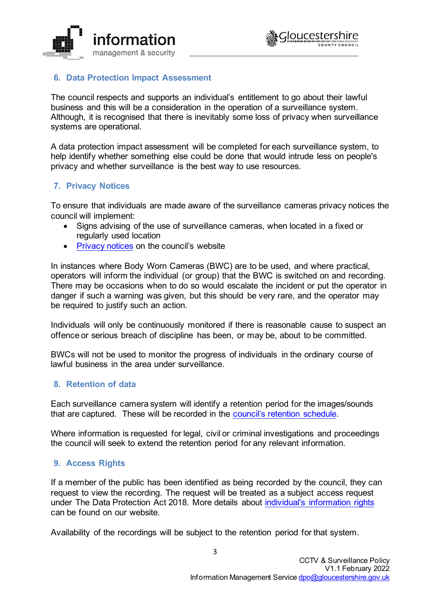



# **6. Data Protection Impact Assessment**

The council respects and supports an individual's entitlement to go about their lawful business and this will be a consideration in the operation of a surveillance system. Although, it is recognised that there is inevitably some loss of privacy when surveillance systems are operational.

A data protection impact assessment will be completed for each surveillance system, to help identify whether something else could be done that would intrude less on people's privacy and whether surveillance is the best way to use resources.

# **7. Privacy Notices**

To ensure that individuals are made aware of the surveillance cameras privacy notices the council will implement:

- Signs advising of the use of surveillance cameras, when located in a fixed or regularly used location
- [Privacy notices](https://www.gloucestershire.gov.uk/council-and-democracy/data-protection/service-specific-privacy-notices/) on the council's website

In instances where Body Worn Cameras (BWC) are to be used, and where practical, operators will inform the individual (or group) that the BWC is switched on and recording. There may be occasions when to do so would escalate the incident or put the operator in danger if such a warning was given, but this should be very rare, and the operator may be required to justify such an action.

Individuals will only be continuously monitored if there is reasonable cause to suspect an offence or serious breach of discipline has been, or may be, about to be committed.

BWCs will not be used to monitor the progress of individuals in the ordinary course of lawful business in the area under surveillance.

#### **8. Retention of data**

Each surveillance camera system will identify a retention period for the images/sounds that are captured. These will be recorded in the [council's retention schedule.](https://www.gloucestershire.gov.uk/media/2092494/retention-schedule.pdf)

Where information is requested for legal, civil or criminal investigations and proceedings the council will seek to extend the retention period for any relevant information.

# **9. Access Rights**

If a member of the public has been identified as being recorded by the council, they can request to view the recording. The request will be treated as a subject access request under The Data Protection Act 2018. More details about [individual's information rights](https://www.gloucestershire.gov.uk/council-and-democracy/data-protection/your-information-rights/) can be found on our website.

Availability of the recordings will be subject to the retention period for that system.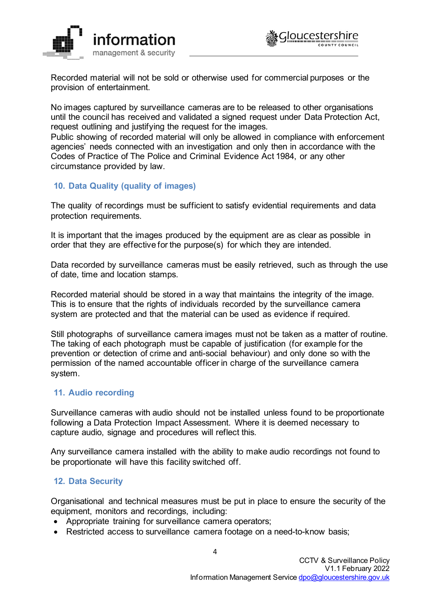



Recorded material will not be sold or otherwise used for commercial purposes or the provision of entertainment.

No images captured by surveillance cameras are to be released to other organisations until the council has received and validated a signed request under Data Protection Act, request outlining and justifying the request for the images.

Public showing of recorded material will only be allowed in compliance with enforcement agencies' needs connected with an investigation and only then in accordance with the Codes of Practice of The Police and Criminal Evidence Act 1984, or any other circumstance provided by law.

#### **10. Data Quality (quality of images)**

The quality of recordings must be sufficient to satisfy evidential requirements and data protection requirements.

It is important that the images produced by the equipment are as clear as possible in order that they are effective for the purpose(s) for which they are intended.

Data recorded by surveillance cameras must be easily retrieved, such as through the use of date, time and location stamps.

Recorded material should be stored in a way that maintains the integrity of the image. This is to ensure that the rights of individuals recorded by the surveillance camera system are protected and that the material can be used as evidence if required.

Still photographs of surveillance camera images must not be taken as a matter of routine. The taking of each photograph must be capable of justification (for example for the prevention or detection of crime and anti-social behaviour) and only done so with the permission of the named accountable officer in charge of the surveillance camera system.

#### **11. Audio recording**

Surveillance cameras with audio should not be installed unless found to be proportionate following a Data Protection Impact Assessment. Where it is deemed necessary to capture audio, signage and procedures will reflect this.

Any surveillance camera installed with the ability to make audio recordings not found to be proportionate will have this facility switched off.

#### **12. Data Security**

Organisational and technical measures must be put in place to ensure the security of the equipment, monitors and recordings, including:

- Appropriate training for surveillance camera operators;
- Restricted access to surveillance camera footage on a need-to-know basis;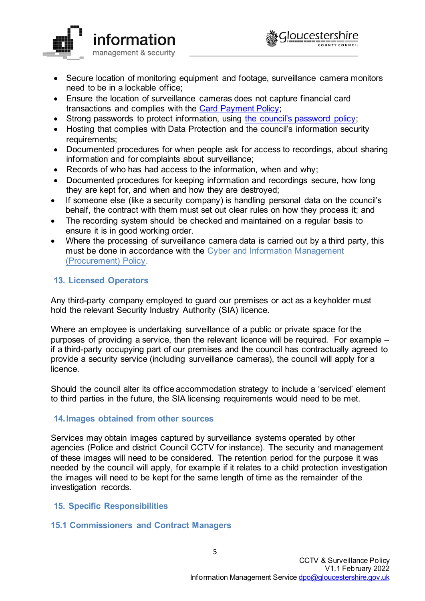



- Secure location of monitoring equipment and footage, surveillance camera monitors need to be in a lockable office;
- Ensure the location of surveillance cameras does not capture financial card transactions and complies with the [Card Payment Policy;](https://staffnet.gloucestershire.gov.uk/media/220968/card-payment-policy-v04.docx)
- Strong passwords to protect information, using [the council's password policy;](https://www.gloucestershire.gov.uk/media/1519558/gcc-password-policy.pdf)
- Hosting that complies with Data Protection and the council's information security requirements;
- Documented procedures for when people ask for access to recordings, about sharing information and for complaints about surveillance;
- Records of who has had access to the information, when and why;
- Documented procedures for keeping information and recordings secure, how long they are kept for, and when and how they are destroyed;
- If someone else (like a security company) is handling personal data on the council's behalf, the contract with them must set out clear rules on how they process it; and
- The recording system should be checked and maintained on a regular basis to ensure it is in good working order.
- Where the processing of surveillance camera data is carried out by a third party, this must be done in accordance with the [Cyber and Information Management](https://staffnet.gloucestershire.gov.uk/media/231440/cyber-information-management-procurement-policy-v1-2.pdf)  [\(Procurement\) Policy.](https://staffnet.gloucestershire.gov.uk/media/231440/cyber-information-management-procurement-policy-v1-2.pdf)

# **13. Licensed Operators**

Any third-party company employed to guard our premises or act as a keyholder must hold the relevant Security Industry Authority (SIA) licence.

Where an employee is undertaking surveillance of a public or private space for the purposes of providing a service, then the relevant licence will be required. For example – if a third-party occupying part of our premises and the council has contractually agreed to provide a security service (including surveillance cameras), the council will apply for a licence.

Should the council alter its office accommodation strategy to include a 'serviced' element to third parties in the future, the SIA licensing requirements would need to be met.

# **14.Images obtained from other sources**

Services may obtain images captured by surveillance systems operated by other agencies (Police and district Council CCTV for instance). The security and management of these images will need to be considered. The retention period for the purpose it was needed by the council will apply, for example if it relates to a child protection investigation the images will need to be kept for the same length of time as the remainder of the investigation records.

#### **15. Specific Responsibilities**

#### **15.1 Commissioners and Contract Managers**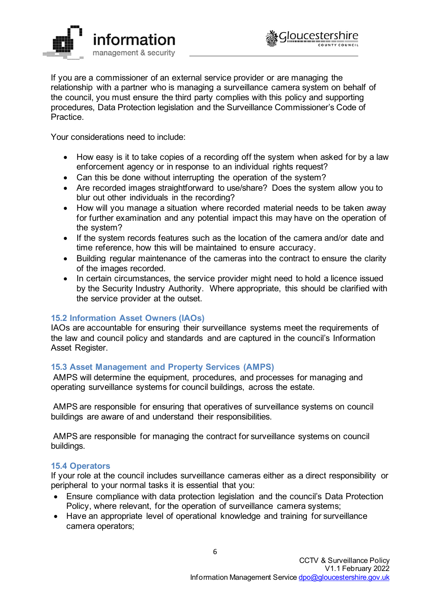



If you are a commissioner of an external service provider or are managing the relationship with a partner who is managing a surveillance camera system on behalf of the council, you must ensure the third party complies with this policy and supporting procedures, Data Protection legislation and the Surveillance Commissioner's Code of **Practice** 

Your considerations need to include:

- How easy is it to take copies of a recording off the system when asked for by a law enforcement agency or in response to an individual rights request?
- Can this be done without interrupting the operation of the system?
- Are recorded images straightforward to use/share? Does the system allow you to blur out other individuals in the recording?
- How will you manage a situation where recorded material needs to be taken away for further examination and any potential impact this may have on the operation of the system?
- If the system records features such as the location of the camera and/or date and time reference, how this will be maintained to ensure accuracy.
- Building regular maintenance of the cameras into the contract to ensure the clarity of the images recorded.
- In certain circumstances, the service provider might need to hold a licence issued by the Security Industry Authority. Where appropriate, this should be clarified with the service provider at the outset.

# **15.2 Information Asset Owners (IAOs)**

IAOs are accountable for ensuring their surveillance systems meet the requirements of the law and council policy and standards and are captured in the council's Information Asset Register.

# **15.3 Asset Management and Property Services (AMPS)**

AMPS will determine the equipment, procedures, and processes for managing and operating surveillance systems for council buildings, across the estate.

AMPS are responsible for ensuring that operatives of surveillance systems on council buildings are aware of and understand their responsibilities.

AMPS are responsible for managing the contract for surveillance systems on council buildings.

#### **15.4 Operators**

If your role at the council includes surveillance cameras either as a direct responsibility or peripheral to your normal tasks it is essential that you:

- Ensure compliance with data protection legislation and the council's Data Protection Policy, where relevant, for the operation of surveillance camera systems;
- Have an appropriate level of operational knowledge and training for surveillance camera operators;